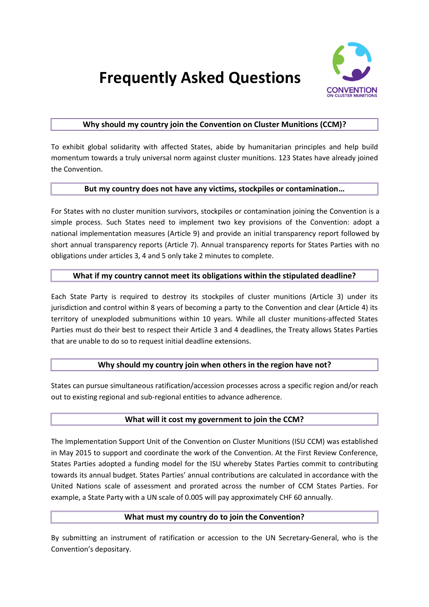

# **Frequently Asked Questions**

### **Why should my country join the Convention on Cluster Munitions (CCM)?**

To exhibit global solidarity with affected States, abide by humanitarian principles and help build momentum towards a truly universal norm against cluster munitions. 123 States have already joined the Convention.

### **But my country does not have any victims, stockpiles or contamination…**

For States with no cluster munition survivors, stockpiles or contamination joining the Convention is a simple process. Such States need to implement two key provisions of the Convention: adopt a national implementation measures (Article 9) and provide an initial transparency report followed by short annual transparency reports (Article 7). Annual transparency reports for States Parties with no obligations under articles 3, 4 and 5 only take 2 minutes to complete.

### **What if my country cannot meet its obligations within the stipulated deadline?**

Each State Party is required to destroy its stockpiles of cluster munitions (Article 3) under its jurisdiction and control within 8 years of becoming a party to the Convention and clear (Article 4) its territory of unexploded submunitions within 10 years. While all cluster munitions-affected States Parties must do their best to respect their Article 3 and 4 deadlines, the Treaty allows States Parties that are unable to do so to request initial deadline extensions.

### **Why should my country join when others in the region have not?**

States can pursue simultaneous ratification/accession processes across a specific region and/or reach out to existing regional and sub-regional entities to advance adherence.

### **What will it cost my government to join the CCM?**

The Implementation Support Unit of the Convention on Cluster Munitions (ISU CCM) was established in May 2015 to support and coordinate the work of the Convention. At the First Review Conference, States Parties adopted a funding model for the ISU whereby States Parties commit to contributing towards its annual budget. States Parties' annual contributions are calculated in accordance with the United Nations scale of assessment and prorated across the number of CCM States Parties. For example, a State Party with a UN scale of 0.005 will pay approximately CHF 60 annually.

### **What must my country do to join the Convention?**

By submitting an instrument of ratification or accession to the UN Secretary-General, who is the Convention's depositary.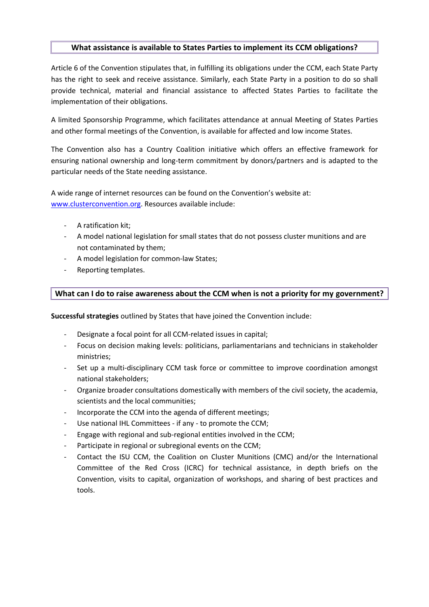#### **What assistance is available to States Parties to implement its CCM obligations?**

[Article 6](http://www.clusterconvention.org/files/2011/01/Convention-ENG.pdf#page=10) of the Convention stipulates that, in fulfilling its obligations under the CCM, each State Party has the right to seek and receive assistance. Similarly, each State Party in a position to do so shall provide technical, material and financial assistance to affected States Parties to facilitate the implementation of their obligations.

A limited Sponsorship Programme, which facilitates attendance at annual Meeting of States Parties and other formal meetings of the Convention, is available for affected and low income States.

The Convention also has a Country Coalition initiative which offers an effective framework for ensuring national ownership and long-term commitment by donors/partners and is adapted to the particular needs of the State needing assistance.

A wide range of internet resources can be found on the Convention's website at: [www.clusterconvention.org.](http://www.clusterconvention.org/) Resources available include:

- A ratification kit;
- A model national legislation for small states that do not possess cluster munitions and are not contaminated by them;
- A model legislation for common-law States:
- Reporting templates.

## **What can I do to raise awareness about the CCM when is not a priority for my government?**

**Successful strategies** outlined by States that have joined the Convention include:

- Designate a focal point for all CCM-related issues in capital;
- Focus on decision making levels: politicians, parliamentarians and technicians in stakeholder ministries;
- Set up a multi-disciplinary CCM task force or committee to improve coordination amongst national stakeholders;
- Organize broader consultations domestically with members of the civil society, the academia, scientists and the local communities;
- Incorporate the CCM into the agenda of different meetings;
- Use national IHL Committees if any to promote the CCM;
- Engage with regional and sub-regional entities involved in the CCM;
- Participate in regional or subregional events on the CCM;
- Contact the ISU CCM, the Coalition on Cluster Munitions (CMC) and/or the International Committee of the Red Cross (ICRC) for technical assistance, in depth briefs on the Convention, visits to capital, organization of workshops, and sharing of best practices and tools.